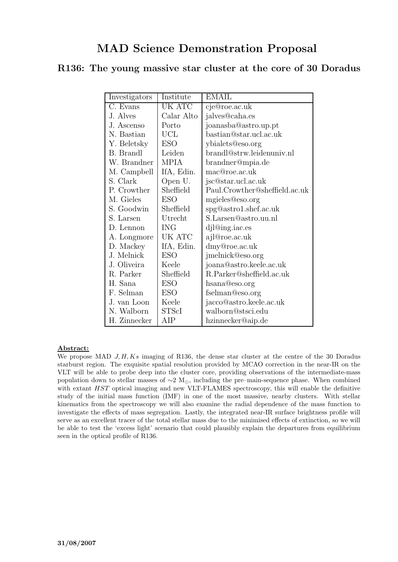# R136: The young massive star cluster at the core of 30 Doradus

| Investigators          | Institute    | EMAIL                         |
|------------------------|--------------|-------------------------------|
| $\overline{C}$ . Evans | UK ATC       | cje@roe.ac.uk                 |
| J. Alves               | Calar Alto   | jalves@caha.es                |
| J. Ascenso             | Porto        | joanasba@astro.up.pt          |
| N. Bastian             | <b>UCL</b>   | bastian@star.ucl.ac.uk        |
| Y. Beletsky            | <b>ESO</b>   | ybialets@eso.org              |
| B. Brandl              | Leiden       | brandl@strw.leidenuniv.nl     |
| W. Brandner            | <b>MPIA</b>  | brandner@mpia.de              |
| M. Campbell            | IfA, Edin.   | mac@roe.ac.uk                 |
| S. Clark               | Open U.      | jsc@star.ucl.ac.uk            |
| P. Crowther            | Sheffield    | Paul.Crowther@sheffield.ac.uk |
| M. Gieles              | <b>ESO</b>   | mgieles@eso.org               |
| S. Goodwin             | Sheffield    | spg@astro1.shef.ac.uk         |
| S. Larsen              | Utrecht      | S.Larsen@astro.uu.nl          |
| D. Lennon              | <b>ING</b>   | djl@ing.iac.es                |
| A. Longmore            | UK ATC       | ajl@roe.ac.uk                 |
| D. Mackey              | IfA, Edin.   | dmy@roe.ac.uk                 |
| J. Melnick             | ESO          | jmelnick@eso.org              |
| J. Oliveira            | Keele        | joana@astro.keele.ac.uk       |
| R. Parker              | Sheffield    | R.Parker@sheffield.ac.uk      |
| H. Sana                | <b>ESO</b>   | hsana@eso.org                 |
| F. Selman              | <b>ESO</b>   | fselman@eso.org               |
| J. van Loon            | Keele        | jacco@astro.keele.ac.uk       |
| N. Walborn             | <b>STScI</b> | walborn@stsci.edu             |
| H. Zinnecker           | AIP          | hzinnecker@aip.de             |

## Abstract:

We propose MAD  $J, H, Ks$  imaging of R136, the dense star cluster at the centre of the 30 Doradus starburst region. The exquisite spatial resolution provided by MCAO correction in the near-IR on the VLT will be able to probe deep into the cluster core, providing observations of the intermediate-mass population down to stellar masses of  $\sim$ 2 M<sub>∩</sub>, including the pre–main-sequence phase. When combined with extant HST optical imaging and new VLT-FLAMES spectroscopy, this will enable the definitive study of the initial mass function (IMF) in one of the most massive, nearby clusters. With stellar kinematics from the spectroscopy we will also examine the radial dependence of the mass function to investigate the effects of mass segregation. Lastly, the integrated near-IR surface brightness profile will serve as an excellent tracer of the total stellar mass due to the minimised effects of extinction, so we will be able to test the 'excess light' scenario that could plausibly explain the departures from equilibrium seen in the optical profile of R136.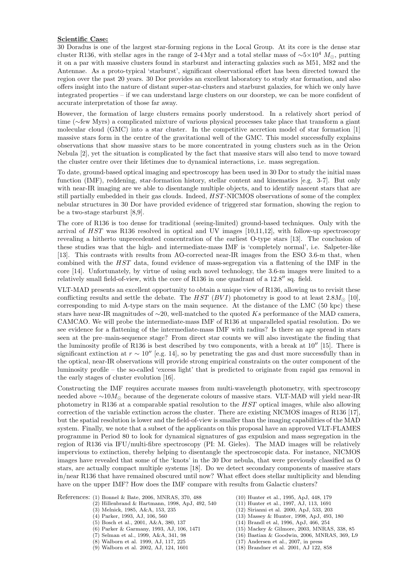#### Scientific Case:

30 Doradus is one of the largest star-forming regions in the Local Group. At its core is the dense star cluster R136, with stellar ages in the range of 2-4 Myr and a total stellar mass of  $\sim$ 5×10<sup>4</sup> M<sub>o</sub>, putting it on a par with massive clusters found in starburst and interacting galaxies such as M51, M82 and the Antennae. As a proto-typical 'starburst', significant observational effort has been directed toward the region over the past 20 years. 30 Dor provides an excellent laboratory to study star formation, and also offers insight into the nature of distant super-star-clusters and starburst galaxies, for which we only have integrated properties – if we can understand large clusters on our doorstep, we can be more confident of accurate interpretation of those far away.

However, the formation of large clusters remains poorly understood. In a relatively short period of time (∼few Myrs) a complicated mixture of various physical processes take place that transform a giant molecular cloud (GMC) into a star cluster. In the competitive accretion model of star formation [1] massive stars form in the centre of the gravitational well of the GMC. This model successfully explains observations that show massive stars to be more concentrated in young clusters such as in the Orion Nebula [2], yet the situation is complicated by the fact that massive stars will also tend to move toward the cluster centre over their lifetimes due to dynamical interactions, i.e. mass segregation.

To date, ground-based optical imaging and spectroscopy has been used in 30 Dor to study the initial mass function (IMF), reddening, star-formation history, stellar content and kinematics [e.g. 3-7]. But only with near-IR imaging are we able to disentangle multiple objects, and to identify nascent stars that are still partially embedded in their gas clouds. Indeed, HST -NICMOS observations of some of the complex nebular structures in 30 Dor have provided evidence of triggered star formation, showing the region to be a two-stage starburst [8,9].

The core of R136 is too dense for traditional (seeing-limited) ground-based techniques. Only with the arrival of  $HST$  was R136 resolved in optical and UV images  $[10,11,12]$ , with follow-up spectroscopy revealing a hitherto unprecedented concentration of the earliest O-type stars [13]. The conclusion of these studies was that the high- and intermediate-mass IMF is 'completely normal', i.e. Salpeter-like [13]. This contrasts with results from AO-corrected near-IR images from the ESO 3.6-m that, when combined with the HST data, found evidence of mass-segregation via a flattening of the IMF in the core [14]. Unfortunately, by virtue of using such novel technology, the 3.6-m images were limited to a relatively small field-of-view, with the core of R136 in one quadrant of a  $12.8''$  sq. field.

VLT-MAD presents an excellent opportunity to obtain a unique view of R136, allowing us to revisit these conflicting results and settle the debate. The HST (BVI) photometry is good to at least  $2.8M_{\odot}$  [10], corresponding to mid A-type stars on the main sequence. At the distance of the LMC (50 kpc) these stars have near-IR magnitudes of  $\sim$ 20, well-matched to the quoted Ks performance of the MAD camera, CAMCAO. We will probe the intermediate-mass IMF of R136 at unparalleled spatial resolution. Do we see evidence for a flattening of the intermediate-mass IMF with radius? Is there an age spread in stars seen at the pre–main-sequence stage? From direct star counts we will also investigate the finding that the luminosity profile of R136 is best described by two components, with a break at  $10''$  [15]. There is significant extinction at  $r \sim 10''$  [e.g. 14], so by penetrating the gas and dust more successfully than in the optical, near-IR observations will provide strong empirical constraints on the outer component of the luminosity profile – the so-called 'excess light' that is predicted to originate from rapid gas removal in the early stages of cluster evolution [16].

Constructing the IMF requires accurate masses from multi-wavelength photometry, with spectroscopy needed above  $\sim 10 M_{\odot}$  because of the degenerate colours of massive stars. VLT-MAD will yield near-IR photometry in R136 at a comparable spatial resolution to the HST optical images, while also allowing correction of the variable extinction across the cluster. There are existing NICMOS images of R136 [17], but the spatial resolution is lower and the field-of-view is smaller than the imaging capabilities of the MAD system. Finally, we note that a subset of the applicants on this proposal have an approved VLT-FLAMES programme in Period 80 to look for dynamical signatures of gas expulsion and mass segregation in the region of R136 via IFU/multi-fibre spectroscopy (PI: M. Gieles). The MAD images will be relatively impervious to extinction, thereby helping to disentangle the spectroscopic data. For instance, NICMOS images have revealed that some of the 'knots' in the 30 Dor nebula, that were previously classified as O stars, are actually compact multiple systems [18]. Do we detect secondary components of massive stars in/near R136 that have remained obscured until now? What effect does stellar multiplicity and blending have on the upper IMF? How does the IMF compare with results from Galactic clusters?

References: (1) Bonnel & Bate, 2006, MNRAS, 370, 488

- (2) Hillenbrand & Hartmann, 1998, ApJ, 492, 540
- (3) Melnick, 1985, A&A, 153, 235
- (4) Parker, 1993, AJ, 106, 560
- (5) Bosch et al., 2001, A&A, 380, 137
- (6) Parker & Garmany, 1993, AJ, 106, 1471
- (7) Selman et al., 1999, A&A, 341, 98
- (8) Walborn et al. 1999, AJ, 117, 225
- (9) Walborn et al. 2002, AJ, 124, 1601
- (10) Hunter et al., 1995, ApJ, 448, 179 (11) Hunter et al., 1997, AJ, 113, 1691
- (12) Sirianni et al. 2000, ApJ, 533, 203
- (13) Massey & Hunter, 1998, ApJ, 493, 180
- (14) Brandl et al, 1996, ApJ, 466, 254
- (15) Mackey & Gilmore, 2003, MNRAS, 338, 85
- (16) Bastian & Goodwin, 2006, MNRAS, 369, L9
- - (17) Andersen et al., 2007, in press
	- (18) Brandner et al. 2001, AJ 122, 858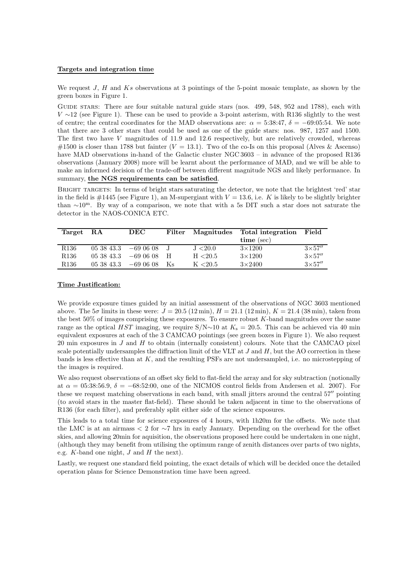#### Targets and integration time

We request J, H and Ks observations at 3 pointings of the 5-point mosaic template, as shown by the green boxes in Figure 1.

GUIDE STARS: There are four suitable natural guide stars (nos. 499, 548, 952 and 1788), each with  $V \sim 12$  (see Figure 1). These can be used to provide a 3-point asterism, with R136 slightly to the west of centre; the central coordinates for the MAD observations are:  $\alpha = 5:38:47$ ,  $\delta = -69:05:54$ . We note that there are 3 other stars that could be used as one of the guide stars: nos. 987, 1257 and 1500. The first two have  $V$  magnitudes of 11.9 and 12.6 respectively, but are relatively crowded, whereas #1500 is closer than 1788 but fainter  $(V = 13.1)$ . Two of the co-Is on this proposal (Alves & Ascenso) have MAD observations in-hand of the Galactic cluster NGC 3603 – in advance of the proposed R136 observations (January 2008) more will be learnt about the performance of MAD, and we will be able to make an informed decision of the trade-off between different magnitude NGS and likely performance. In summary, the NGS requirements can be satisfied.

BRIGHT TARGETS: In terms of bright stars saturating the detector, we note that the brightest 'red' star in the field is  $\#1445$  (see Figure 1), an M-supergiant with  $V = 13.6$ , i.e. K is likely to be slightly brighter than ∼10<sup>m</sup>. By way of a comparison, we note that with a 5s DIT such a star does not saturate the detector in the NAOS-CONICA ETC.

| Target RA        |            | DEC                  | Filter |          | Magnitudes Total integration | $\rm Field$    |
|------------------|------------|----------------------|--------|----------|------------------------------|----------------|
|                  |            |                      |        |          | $time$ (sec)                 |                |
| R <sub>136</sub> |            | $053843.3 -690608$ J |        | J < 20.0 | $3\times1200$                | $3\times 57''$ |
| R <sub>136</sub> |            | $053843.3 -690608$ H |        | H < 20.5 | $3\times1200$                | $3\times 57''$ |
| R <sub>136</sub> | 05 38 43.3 | $-690608$            | – Ks   | K < 20.5 | $3\times 2400$               | $3\times 57''$ |

### Time Justification:

We provide exposure times guided by an initial assessment of the observations of NGC 3603 mentioned above. The  $5\sigma$  limits in these were:  $J = 20.5 (12 \text{ min})$ ,  $H = 21.1 (12 \text{ min})$ ,  $K = 21.4 (38 \text{ min})$ , taken from the best  $50\%$  of images comprising these exposures. To ensure robust K-band magnitudes over the same range as the optical HST imaging, we require S/N $\sim$ 10 at K<sub>s</sub> = 20.5. This can be achieved via 40 min equivalent exposures at each of the 3 CAMCAO pointings (see green boxes in Figure 1). We also request 20 min exposures in  $J$  and  $H$  to obtain (internally consistent) colours. Note that the CAMCAO pixel scale potentially undersamples the diffraction limit of the VLT at  $J$  and  $H$ , but the AO correction in these bands is less effective than at K, and the resulting PSFs are not undersampled, i.e. no microstepping of the images is required.

We also request observations of an offset sky field to flat-field the array and for sky subtraction (notionally at  $\alpha = 0.538:56.9$ ,  $\delta = -68:52:00$ , one of the NICMOS control fields from Andersen et al. 2007). For these we request matching observations in each band, with small jitters around the central 57<sup>0</sup> pointing (to avoid stars in the master flat-field). These should be taken adjacent in time to the observations of R136 (for each filter), and preferably split either side of the science exposures.

This leads to a total time for science exposures of 4 hours, with 1h20m for the offsets. We note that the LMC is at an airmass < 2 for ∼7 hrs in early January. Depending on the overhead for the offset skies, and allowing 20min for aquisition, the observations proposed here could be undertaken in one night, (although they may benefit from utilising the optimum range of zenith distances over parts of two nights, e.g.  $K$ -band one night,  $J$  and  $H$  the next).

Lastly, we request one standard field pointing, the exact details of which will be decided once the detailed operation plans for Science Demonstration time have been agreed.